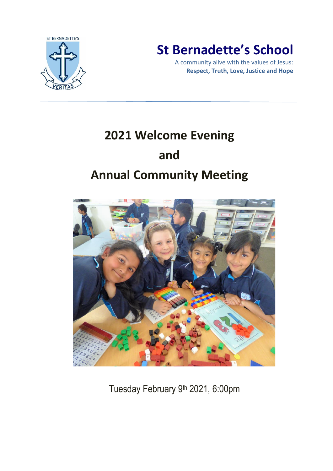

# **St Bernadette's School**

A community alive with the values of Jesus: **Respect, Truth, Love, Justice and Hope**

# **2021 Welcome Evening and Annual Community Meeting**



Tuesday February 9 th 2021, 6:00pm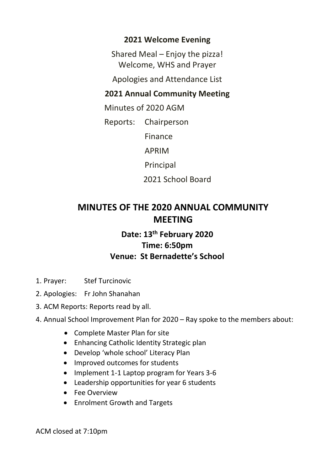### **2021 Welcome Evening**

Shared Meal – Enjoy the pizza! Welcome, WHS and Prayer

Apologies and Attendance List

## **2021 Annual Community Meeting**

Minutes of 2020 AGM

Reports: Chairperson

Finance

APRIM

Principal

2021 School Board

## **MINUTES OF THE 2020 ANNUAL COMMUNITY MEETING**

## **Date: 13 th February 2020 Time: 6:50pm Venue: St Bernadette's School**

- 1. Prayer: Stef Turcinovic
- 2. Apologies: Fr John Shanahan
- 3. ACM Reports: Reports read by all.

### 4. Annual School Improvement Plan for 2020 – Ray spoke to the members about:

- Complete Master Plan for site
- Enhancing Catholic Identity Strategic plan
- Develop 'whole school' Literacy Plan
- Improved outcomes for students
- Implement 1-1 Laptop program for Years 3-6
- Leadership opportunities for year 6 students
- Fee Overview
- Enrolment Growth and Targets

ACM closed at 7:10pm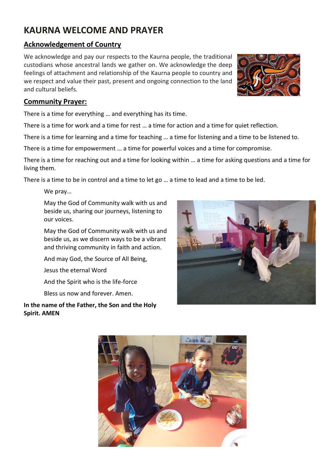# **KAURNA WELCOME AND PRAYER**

#### **Acknowledgement of Country**

We acknowledge and pay our respects to the Kaurna people, the traditional custodians whose ancestral lands we gather on. We acknowledge the deep feelings of attachment and relationship of the Kaurna people to country and we respect and value their past, present and ongoing connection to the land and cultural beliefs.

#### **Community Prayer:**

There is a time for everything … and everything has its time.

There is a time for work and a time for rest … a time for action and a time for quiet reflection.

There is a time for learning and a time for teaching … a time for listening and a time to be listened to.

There is a time for empowerment … a time for powerful voices and a time for compromise.

There is a time for reaching out and a time for looking within … a time for asking questions and a time for living them.

There is a time to be in control and a time to let go … a time to lead and a time to be led.

We pray…

May the God of Community walk with us and beside us, sharing our journeys, listening to our voices.

May the God of Community walk with us and beside us, as we discern ways to be a vibrant and thriving community in faith and action.

And may God, the Source of All Being,

Jesus the eternal Word

And the Spirit who is the life-force

Bless us now and forever. Amen.

**In the name of the Father, the Son and the Holy Spirit. AMEN**





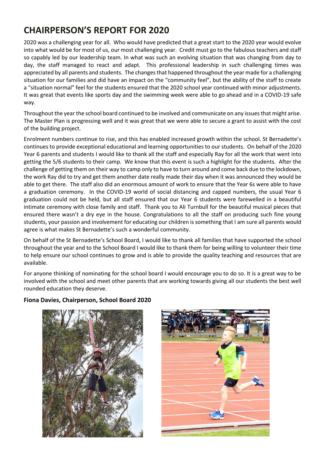# **CHAIRPERSON'S REPORT FOR 2020**

2020 was a challenging year for all. Who would have predicted that a great start to the 2020 year would evolve into what would be for most of us, our most challenging year. Credit must go to the fabulous teachers and staff so capably led by our leadership team. In what was such an evolving situation that was changing from day to day, the staff managed to react and adapt. This professional leadership in such challenging times was appreciated by all parents and students. The changes that happened throughout the year made for a challenging situation for our families and did have an impact on the "community feel", but the ability of the staff to create a "situation normal" feel for the students ensured that the 2020 school year continued with minor adjustments. It was great that events like sports day and the swimming week were able to go ahead and in a COVID-19 safe way.

Throughout the year the school board continued to be involved and communicate on any issues that might arise. The Master Plan is progressing well and it was great that we were able to secure a grant to assist with the cost of the building project.

Enrolment numbers continue to rise, and this has enabled increased growth within the school. St Bernadette's continues to provide exceptional educational and learning opportunities to our students. On behalf of the 2020 Year 6 parents and students I would like to thank all the staff and especially Ray for all the work that went into getting the 5/6 students to their camp. We know that this event is such a highlight for the students. After the challenge of getting them on their way to camp only to have to turn around and come back due to the lockdown, the work Ray did to try and get them another date really made their day when it was announced they would be able to get there. The staff also did an enormous amount of work to ensure that the Year 6s were able to have a graduation ceremony. In the COVID-19 world of social distancing and capped numbers, the usual Year 6 graduation could not be held, but all staff ensured that our Year 6 students were farewelled in a beautiful intimate ceremony with close family and staff. Thank you to Ali Turnbull for the beautiful musical pieces that ensured there wasn't a dry eye in the house. Congratulations to all the staff on producing such fine young students, your passion and involvement for educating our children is something that I am sure all parents would agree is what makes St Bernadette's such a wonderful community.

On behalf of the St Bernadette's School Board, I would like to thank all families that have supported the school throughout the year and to the School Board I would like to thank them for being willing to volunteer their time to help ensure our school continues to grow and is able to provide the quality teaching and resources that are available.

For anyone thinking of nominating for the school board I would encourage you to do so. It is a great way to be involved with the school and meet other parents that are working towards giving all our students the best well rounded education they deserve.

#### **Fiona Davies, Chairperson, School Board 2020**



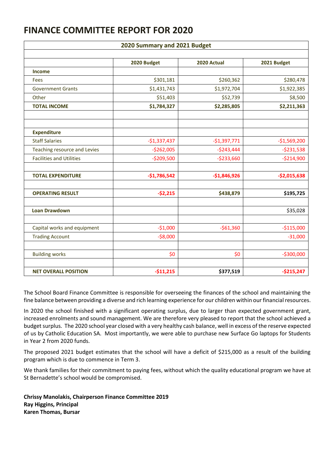## **FINANCE COMMITTEE REPORT FOR 2020**

| 2020 Summary and 2021 Budget    |               |               |               |
|---------------------------------|---------------|---------------|---------------|
|                                 | 2020 Budget   | 2020 Actual   | 2021 Budget   |
| <b>Income</b>                   |               |               |               |
| Fees                            | \$301,181     | \$260,362     | \$280,478     |
| <b>Government Grants</b>        | \$1,431,743   | \$1,972,704   | \$1,922,385   |
| Other                           | \$51,403      | \$52,739      | \$8,500       |
| <b>TOTAL INCOME</b>             | \$1,784,327   | \$2,285,805   | \$2,211,363   |
| <b>Expenditure</b>              |               |               |               |
| <b>Staff Salaries</b>           | $-$1,337,437$ | $-$1,397,771$ | $-$1,569,200$ |
| Teaching resource and Levies    | $-$262,005$   | $-$243,444$   | $-5231,538$   |
| <b>Facilities and Utilities</b> | $-$209,500$   | $-$233,660$   | $-$214,900$   |
| <b>TOTAL EXPENDITURE</b>        | $-$1,786,542$ | $-$1,846,926$ | $-$2,015,638$ |
| <b>OPERATING RESULT</b>         | $-52,215$     | \$438,879     | \$195,725     |
| <b>Loan Drawdown</b>            |               |               | \$35,028      |
| Capital works and equipment     | $-51,000$     | $-561,360$    | $-$115,000$   |
| <b>Trading Account</b>          | $- $8,000$    |               | $-31,000$     |
| <b>Building works</b>           | \$0           | \$0           | $-$300,000$   |
| <b>NET OVERALL POSITION</b>     | $-$11,215$    | \$377,519     | $-5215,247$   |

#### The School Board Finance Committee is responsible for overseeing the finances of the school and maintaining the fine balance between providing a diverse and rich learning experience for our children within our financial resources.

In 2020 the school finished with a significant operating surplus, due to larger than expected government grant, increased enrolments and sound management. We are therefore very pleased to report that the school achieved a budget surplus. The 2020 school year closed with a very healthy cash balance, well in excess of the reserve expected of us by Catholic Education SA. Most importantly, we were able to purchase new Surface Go laptops for Students in Year 2 from 2020 funds.

The proposed 2021 budget estimates that the school will have a deficit of \$215,000 as a result of the building program which is due to commence in Term 3.

We thank families for their commitment to paying fees, without which the quality educational program we have at St Bernadette's school would be compromised.

**Chrissy Manolakis, Chairperson Finance Committee 2019 Ray Higgins, Principal Karen Thomas, Bursar**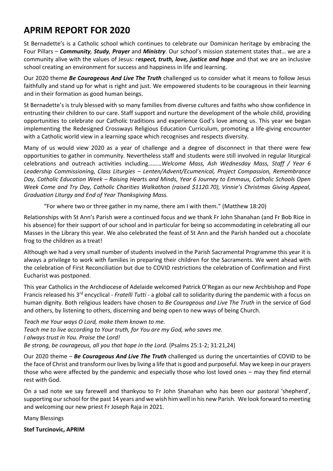## **APRIM REPORT FOR 2020**

St Bernadette's is a Catholic school which continues to celebrate our Dominican heritage by embracing the Four Pillars – *Community, Study, Prayer* and *Ministry*. Our school's mission statement states that… we are a community alive with the values of Jesus: r*espect, truth, love, justice and hope* and that we are an inclusive school creating an environment for success and happiness in life and learning.

Our 2020 theme *Be Courageous And Live The Truth* challenged us to consider what it means to follow Jesus faithfully and stand up for what is right and just. We empowered students to be courageous in their learning and in their formation as good human beings.

St Bernadette's is truly blessed with so many families from diverse cultures and faiths who show confidence in entrusting their children to our care. Staff support and nurture the development of the whole child, providing opportunities to celebrate our Catholic traditions and experience God's love among us. This year we began implementing the Redesigned Crossways Religious Education Curriculum, promoting a life-giving encounter with a Catholic world view in a learning space which recognises and respects diversity.

Many of us would view 2020 as a year of challenge and a degree of disconnect in that there were few opportunities to gather in community. Nevertheless staff and students were still involved in regular liturgical celebrations and outreach activities including………*Welcome Mass, Ash Wednesday Mass, Staff / Year 6 Leadership Commissioning, Class Liturgies – Lenten/Advent/Ecumenical, Project Compassion, Remembrance Day, Catholic Education Week – Raising Hearts and Minds, Year 6 Journey to Emmaus, Catholic Schools Open Week Come and Try Day, Catholic Charities Walkathon (raised \$1120.70), Vinnie's Christmas Giving Appeal, Graduation Liturgy and End of Year Thanksgiving Mass.*

"For where two or three gather in my name, there am I with them." (Matthew 18:20)

Relationships with St Ann's Parish were a continued focus and we thank Fr John Shanahan (and Fr Bob Rice in his absence) for their support of our school and in particular for being so accommodating in celebrating all our Masses in the Library this year. We also celebrated the feast of St Ann and the Parish handed out a chocolate frog to the children as a treat!

Although we had a very small number of students involved in the Parish Sacramental Programme this year it is always a privilege to work with families in preparing their children for the Sacraments. We went ahead with the celebration of First Reconciliation but due to COVID restrictions the celebration of Confirmation and First Eucharist was postponed.

This year Catholics in the Archdiocese of Adelaide welcomed Patrick O'Regan as our new Archbishop and Pope Francis released his 3rd encyclical - *Fratelli Tutti* - a global call to solidarity during the pandemic with a focus on human dignity. Both religious leaders have chosen to *Be Courageous and Live The Truth* in the service of God and others, by listening to others, discerning and being open to new ways of being Church.

*Teach me Your ways O Lord, make them known to me. Teach me to live according to Your truth, for You are my God, who saves me. I always trust in You. Praise the Lord! Be strong, be courageous, all you that hope in the Lord.* (Psalms 25:1-2; 31:21,24)

Our 2020 theme – *Be Courageous And Live The Truth* challenged us during the uncertainties of COVID to be the face of Christ and transform our lives by living a life that is good and purposeful. May we keep in our prayers those who were affected by the pandemic and especially those who lost loved ones – may they find eternal rest with God.

On a sad note we say farewell and thankyou to Fr John Shanahan who has been our pastoral 'shepherd', supporting our school for the past 14 years and we wish him well in his new Parish. We look forward to meeting and welcoming our new priest Fr Joseph Raja in 2021.

Many Blessings

**Stef Turcinovic, APRIM**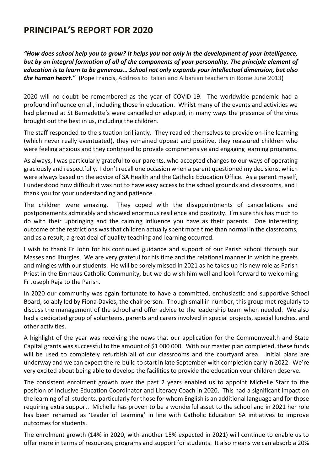## **PRINCIPAL'S REPORT FOR 2020**

*"How does school help you to grow? It helps you not only in the development of your intelligence, but by an integral formation of all of the components of your personality. The principle element of education is to learn to be generous… School not only expands your intellectual dimension, but also the human heart."* (Pope Francis, Address to Italian and Albanian teachers in Rome June 2013)

2020 will no doubt be remembered as the year of COVID-19. The worldwide pandemic had a profound influence on all, including those in education. Whilst many of the events and activities we had planned at St Bernadette's were cancelled or adapted, in many ways the presence of the virus brought out the best in us, including the children.

The staff responded to the situation brilliantly. They readied themselves to provide on-line learning (which never really eventuated), they remained upbeat and positive, they reassured children who were feeling anxious and they continued to provide comprehensive and engaging learning programs.

As always, I was particularly grateful to our parents, who accepted changes to our ways of operating graciously and respectfully. I don't recall one occasion when a parent questioned my decisions, which were always based on the advice of SA Health and the Catholic Education Office. As a parent myself, I understood how difficult it was not to have easy access to the school grounds and classrooms, and I thank you for your understanding and patience.

The children were amazing. They coped with the disappointments of cancellations and postponements admirably and showed enormous resilience and positivity. I'm sure this has much to do with their upbringing and the calming influence you have as their parents. One interesting outcome of the restrictions was that children actually spent more time than normal in the classrooms, and as a result, a great deal of quality teaching and learning occurred.

I wish to thank Fr John for his continued guidance and support of our Parish school through our Masses and liturgies. We are very grateful for his time and the relational manner in which he greets and mingles with our students. He will be sorely missed in 2021 as he takes up his new role as Parish Priest in the Emmaus Catholic Community, but we do wish him well and look forward to welcoming Fr Joseph Raja to the Parish.

In 2020 our community was again fortunate to have a committed, enthusiastic and supportive School Board, so ably led by Fiona Davies, the chairperson. Though small in number, this group met regularly to discuss the management of the school and offer advice to the leadership team when needed. We also had a dedicated group of volunteers, parents and carers involved in special projects, special lunches, and other activities.

A highlight of the year was receiving the news that our application for the Commonwealth and State Capital grants was successful to the amount of \$1 000 000. With our master plan completed, these funds will be used to completely refurbish all of our classrooms and the courtyard area. Initial plans are underway and we can expect the re-build to start in late September with completion early in 2022. We're very excited about being able to develop the facilities to provide the education your children deserve.

The consistent enrolment growth over the past 2 years enabled us to appoint Michelle Starr to the position of Inclusive Education Coordinator and Literacy Coach in 2020. This had a significant impact on the learning of all students, particularly for those for whom English is an additional language and for those requiring extra support. Michelle has proven to be a wonderful asset to the school and in 2021 her role has been renamed as 'Leader of Learning' in line with Catholic Education SA initiatives to improve outcomes for students.

The enrolment growth (14% in 2020, with another 15% expected in 2021) will continue to enable us to offer more in terms of resources, programs and support for students. It also means we can absorb a 20%